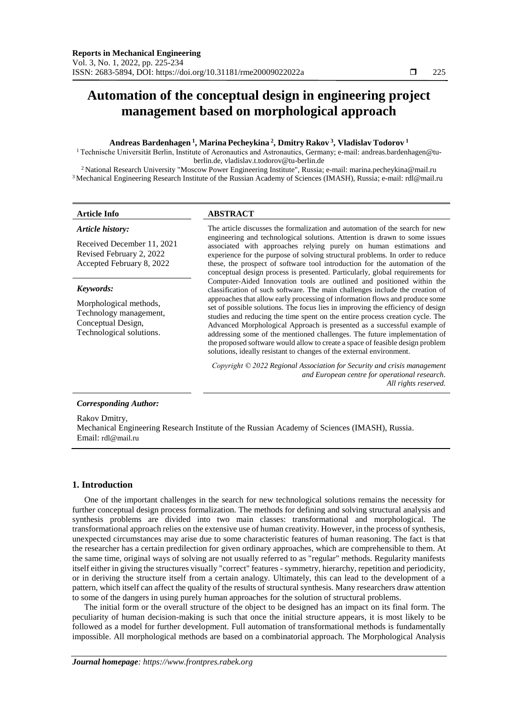# **Automation of the conceptual design in engineering project management based on morphological approach**

#### **Andreas Bardenhagen <sup>1</sup> , Marina Pecheykina <sup>2</sup> , Dmitry Rakov <sup>3</sup> , Vladislav Todorov <sup>1</sup>**

1 Technische Universität Berlin, Institute of Aeronautics and Astronautics, Germany; e-mail[: andreas.bardenhagen@tu](mailto:andreas.bardenhagen@tu-berlin.de)[berlin.de,](mailto:andreas.bardenhagen@tu-berlin.de) vladislav.t.todorov@tu-berlin.de

<sup>2</sup>National Research University "Moscow Power Engineering Institute", Russia; e-mail: marina.pecheykina@mail.ru <sup>3</sup> Mechanical Engineering Research Institute of the Russian Academy of Sciences (IMASH), Russia; e-mail: rdl@mail.ru

#### *Article history:*

Received December 11, 2021 Revised February 2, 2022 Accepted February 8, 2022

#### *Keywords:*

Morphological methods, Technology management, Conceptual Design, Technological solutions.

#### **Article Info ABSTRACT**

The article discusses the formalization and automation of the search for new engineering and technological solutions. Attention is drawn to some issues associated with approaches relying purely on human estimations and experience for the purpose of solving structural problems. In order to reduce these, the prospect of software tool introduction for the automation of the conceptual design process is presented. Particularly, global requirements for Computer-Aided Innovation tools are outlined and positioned within the classification of such software. The main challenges include the creation of approaches that allow early processing of information flows and produce some set of possible solutions. The focus lies in improving the efficiency of design studies and reducing the time spent on the entire process creation cycle. The Advanced Morphological Approach is presented as a successful example of addressing some of the mentioned challenges. The future implementation of the proposed software would allow to create a space of feasible design problem solutions, ideally resistant to changes of the external environment.

*Copyright © 2022 Regional Association for Security and crisis management and European centre for operational research. All rights reserved.*

#### *Corresponding Author:*

Rakov Dmitry, Mechanical Engineering Research Institute of the Russian Academy of Sciences (IMASH), Russia. Email: rdl@mail.ru

### **1. Introduction**

One of the important challenges in the search for new technological solutions remains the necessity for further conceptual design process formalization. The methods for defining and solving structural analysis and synthesis problems are divided into two main classes: transformational and morphological. The transformational approach relies on the extensive use of human creativity. However, in the process of synthesis, unexpected circumstances may arise due to some characteristic features of human reasoning. The fact is that the researcher has a certain predilection for given ordinary approaches, which are comprehensible to them. At the same time, original ways of solving are not usually referred to as "regular" methods. Regularity manifests itself either in giving the structures visually "correct" features - symmetry, hierarchy, repetition and periodicity, or in deriving the structure itself from a certain analogy. Ultimately, this can lead to the development of a pattern, which itself can affect the quality of the results of structural synthesis. Many researchers draw attention to some of the dangers in using purely human approaches for the solution of structural problems.

The initial form or the overall structure of the object to be designed has an impact on its final form. The peculiarity of human decision-making is such that once the initial structure appears, it is most likely to be followed as a model for further development. Full automation of transformational methods is fundamentally impossible. All morphological methods are based on a combinatorial approach. The Morphological Analysis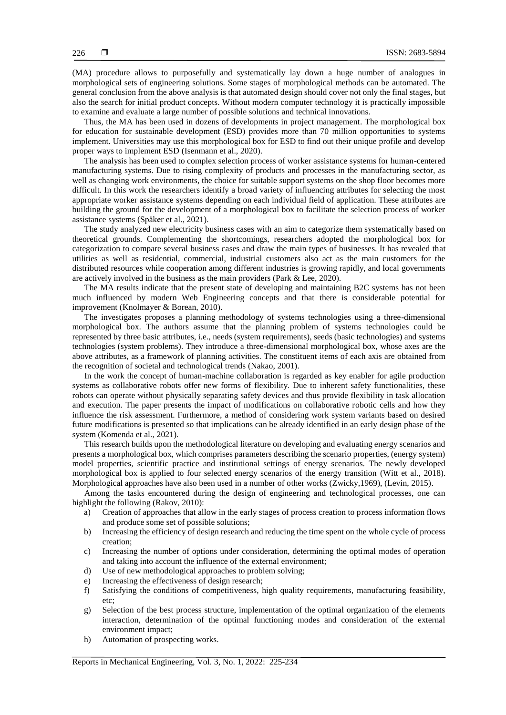(MA) procedure allows to purposefully and systematically lay down a huge number of analogues in morphological sets of engineering solutions. Some stages of morphological methods can be automated. The general conclusion from the above analysis is that automated design should cover not only the final stages, but also the search for initial product concepts. Without modern computer technology it is practically impossible to examine and evaluate a large number of possible solutions and technical innovations.

Thus, the MA has been used in dozens of developments in project management. The morphological box for education for sustainable development (ESD) provides more than 70 million opportunities to systems implement. Universities may use this morphological box for ESD to find out their unique profile and develop proper ways to implement ESD (Isenmann et al., 2020).

The analysis has been used to complex selection process of worker assistance systems for human-centered manufacturing systems. Due to rising complexity of products and processes in the manufacturing sector, as well as changing work environments, the choice for suitable support systems on the shop floor becomes more difficult. In this work the researchers identify a broad variety of influencing attributes for selecting the most appropriate worker assistance systems depending on each individual field of application. These attributes are building the ground for the development of a morphological box to facilitate the selection process of worker assistance systems (Späker et al., 2021).

The study analyzed new electricity business cases with an aim to categorize them systematically based on theoretical grounds. Complementing the shortcomings, researchers adopted the morphological box for categorization to compare several business cases and draw the main types of businesses. It has revealed that utilities as well as residential, commercial, industrial customers also act as the main customers for the distributed resources while cooperation among different industries is growing rapidly, and local governments are actively involved in the business as the main providers (Park & Lee, 2020).

The MA results indicate that the present state of developing and maintaining B2C systems has not been much influenced by modern Web Engineering concepts and that there is considerable potential for improvement (Knolmayer & Borean, 2010).

The investigates proposes a planning methodology of systems technologies using a three-dimensional morphological box. The authors assume that the planning problem of systems technologies could be represented by three basic attributes, i.e., needs (system requirements), seeds (basic technologies) and systems technologies (system problems). They introduce a three-dimensional morphological box, whose axes are the above attributes, as a framework of planning activities. The constituent items of each axis are obtained from the recognition of societal and technological trends (Nakao, 2001).

In the work the concept of human-machine collaboration is regarded as key enabler for agile production systems as collaborative robots offer new forms of flexibility. Due to inherent safety functionalities, these robots can operate without physically separating safety devices and thus provide flexibility in task allocation and execution. The paper presents the impact of modifications on collaborative robotic cells and how they influence the risk assessment. Furthermore, a method of considering work system variants based on desired future modifications is presented so that implications can be already identified in an early design phase of the system (Komenda et al., 2021).

This research builds upon the methodological literature on developing and evaluating energy scenarios and presents a morphological box, which comprises parameters describing the scenario properties, (energy system) model properties, scientific practice and institutional settings of energy scenarios. The newly developed morphological box is applied to four selected energy scenarios of the energy transition (Witt et al., 2018). Morphological approaches have also been used in a number of other works (Zwicky,1969), (Levin, 2015).

Among the tasks encountered during the design of engineering and technological processes, one can highlight the following (Rakov, 2010):

- a) Creation of approaches that allow in the early stages of process creation to process information flows and produce some set of possible solutions;
- b) Increasing the efficiency of design research and reducing the time spent on the whole cycle of process creation;
- c) Increasing the number of options under consideration, determining the optimal modes of operation and taking into account the influence of the external environment;
- d) Use of new methodological approaches to problem solving;
- e) Increasing the effectiveness of design research;
- f) Satisfying the conditions of competitiveness, high quality requirements, manufacturing feasibility, etc;
- g) Selection of the best process structure, implementation of the optimal organization of the elements interaction, determination of the optimal functioning modes and consideration of the external environment impact;
- h) Automation of prospecting works.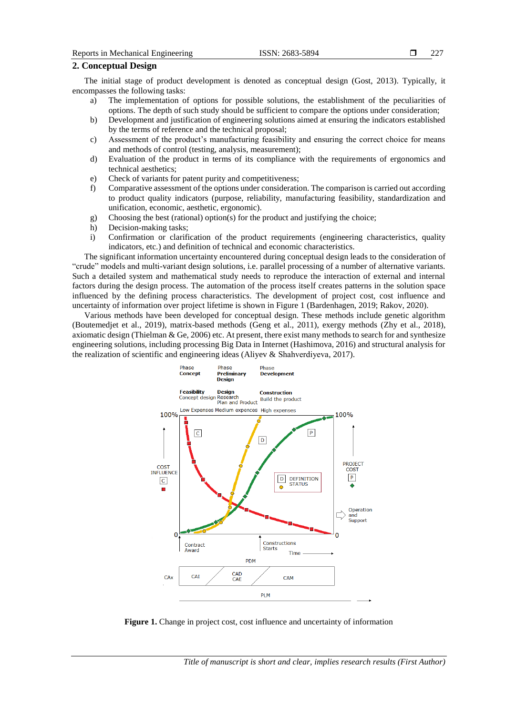# **2. Conceptual Design**

The initial stage of product development is denoted as conceptual design (Gost, 2013). Typically, it encompasses the following tasks:

- a) The implementation of options for possible solutions, the establishment of the peculiarities of options. The depth of such study should be sufficient to compare the options under consideration;
- b) Development and justification of engineering solutions aimed at ensuring the indicators established by the terms of reference and the technical proposal;
- c) Assessment of the product's manufacturing feasibility and ensuring the correct choice for means and methods of control (testing, analysis, measurement);
- d) Evaluation of the product in terms of its compliance with the requirements of ergonomics and technical aesthetics;
- e) Check of variants for patent purity and competitiveness;
- f) Comparative assessment of the options under consideration. The comparison is carried out according to product quality indicators (purpose, reliability, manufacturing feasibility, standardization and unification, economic, aesthetic, ergonomic).
- g) Choosing the best (rational) option(s) for the product and justifying the choice;
- h) Decision-making tasks;
- i) Confirmation or clarification of the product requirements (engineering characteristics, quality indicators, etc.) and definition of technical and economic characteristics.

The significant information uncertainty encountered during conceptual design leads to the consideration of "crude" models and multi-variant design solutions, i.e. parallel processing of a number of alternative variants. Such a detailed system and mathematical study needs to reproduce the interaction of external and internal factors during the design process. The automation of the process itself creates patterns in the solution space influenced by the defining process characteristics. The development of project cost, cost influence and uncertainty of information over project lifetime is shown in Figure 1 (Bardenhagen, 2019; Rakov, 2020).

Various methods have been developed for conceptual design. These methods include genetic algorithm (Boutemedjet et al., 2019), matrix-based methods (Geng et al., 2011), exergy methods (Zhy et al., 2018), axiomatic design (Thielman & Ge, 2006) etc. At present, there exist many methods to search for and synthesize engineering solutions, including processing Big Data in Internet (Hashimova, 2016) and structural analysis for the realization of scientific and engineering ideas (Aliyev & Shahverdiyeva, 2017).



**Figure 1.** Change in project cost, cost influence and uncertainty of information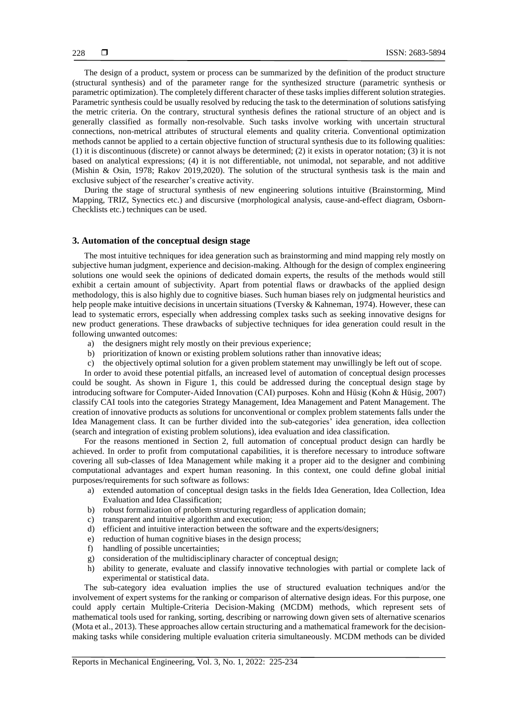The design of a product, system or process can be summarized by the definition of the product structure (structural synthesis) and of the parameter range for the synthesized structure (parametric synthesis or parametric optimization). The completely different character of these tasks implies different solution strategies. Parametric synthesis could be usually resolved by reducing the task to the determination of solutions satisfying the metric criteria. On the contrary, structural synthesis defines the rational structure of an object and is generally classified as formally non-resolvable. Such tasks involve working with uncertain structural connections, non-metrical attributes of structural elements and quality criteria. Conventional optimization methods cannot be applied to a certain objective function of structural synthesis due to its following qualities: (1) it is discontinuous (discrete) or cannot always be determined; (2) it exists in operator notation; (3) it is not based on analytical expressions; (4) it is not differentiable, not unimodal, not separable, and not additive (Mishin & Osin, 1978; Rakov 2019,2020). The solution of the structural synthesis task is the main and exclusive subject of the researcher's creative activity.

During the stage of structural synthesis of new engineering solutions intuitive (Brainstorming, Mind Mapping, TRIZ, Synectics etc.) and discursive (morphological analysis, cause-and-effect diagram, Osborn-Checklists etc.) techniques can be used.

#### **3. Automation of the conceptual design stage**

The most intuitive techniques for idea generation such as brainstorming and mind mapping rely mostly on subjective human judgment, experience and decision-making. Although for the design of complex engineering solutions one would seek the opinions of dedicated domain experts, the results of the methods would still exhibit a certain amount of subjectivity. Apart from potential flaws or drawbacks of the applied design methodology, this is also highly due to cognitive biases. Such human biases rely on judgmental heuristics and help people make intuitive decisions in uncertain situations (Tversky & Kahneman, 1974). However, these can lead to systematic errors, especially when addressing complex tasks such as seeking innovative designs for new product generations. These drawbacks of subjective techniques for idea generation could result in the following unwanted outcomes:

- a) the designers might rely mostly on their previous experience;
- b) prioritization of known or existing problem solutions rather than innovative ideas;
- c) the objectively optimal solution for a given problem statement may unwillingly be left out of scope.

In order to avoid these potential pitfalls, an increased level of automation of conceptual design processes could be sought. As shown in Figure 1, this could be addressed during the conceptual design stage by introducing software for Computer-Aided Innovation (CAI) purposes. Kohn and Hüsig (Kohn & Hüsig, 2007) classify CAI tools into the categories Strategy Management, Idea Management and Patent Management. The creation of innovative products as solutions for unconventional or complex problem statements falls under the Idea Management class. It can be further divided into the sub-categories' idea generation, idea collection (search and integration of existing problem solutions), idea evaluation and idea classification.

For the reasons mentioned in Section 2, full automation of conceptual product design can hardly be achieved. In order to profit from computational capabilities, it is therefore necessary to introduce software covering all sub-classes of Idea Management while making it a proper aid to the designer and combining computational advantages and expert human reasoning. In this context, one could define global initial purposes/requirements for such software as follows:

- a) extended automation of conceptual design tasks in the fields Idea Generation, Idea Collection, Idea Evaluation and Idea Classification;
- b) robust formalization of problem structuring regardless of application domain;
- c) transparent and intuitive algorithm and execution;
- d) efficient and intuitive interaction between the software and the experts/designers;
- e) reduction of human cognitive biases in the design process;
- f) handling of possible uncertainties;
- g) consideration of the multidisciplinary character of conceptual design;
- h) ability to generate, evaluate and classify innovative technologies with partial or complete lack of experimental or statistical data.

The sub-category idea evaluation implies the use of structured evaluation techniques and/or the involvement of expert systems for the ranking or comparison of alternative design ideas. For this purpose, one could apply certain Multiple-Criteria Decision-Making (MCDM) methods, which represent sets of mathematical tools used for ranking, sorting, describing or narrowing down given sets of alternative scenarios (Mota et al., 2013). These approaches allow certain structuring and a mathematical framework for the decisionmaking tasks while considering multiple evaluation criteria simultaneously. MCDM methods can be divided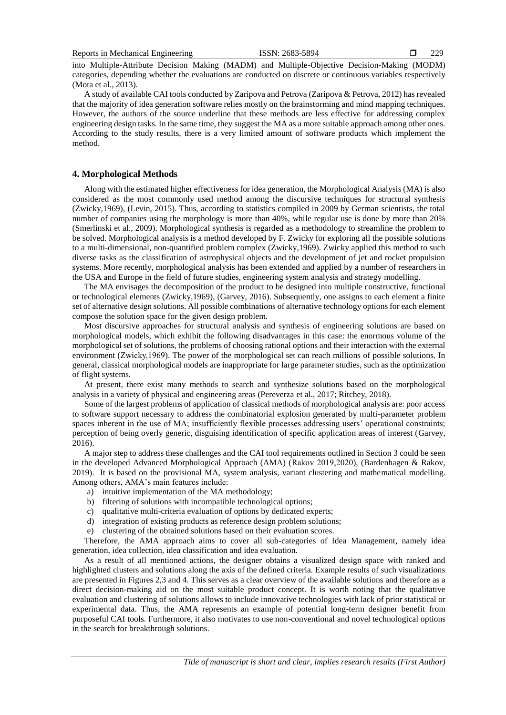into Multiple-Attribute Decision Making (MADM) and Multiple-Objective Decision-Making (MODM) categories, depending whether the evaluations are conducted on discrete or continuous variables respectively (Mota et al., 2013).

A study of available CAI tools conducted by Zaripova and Petrova (Zaripova & Petrova, 2012) has revealed that the majority of idea generation software relies mostly on the brainstorming and mind mapping techniques. However, the authors of the source underline that these methods are less effective for addressing complex engineering design tasks. In the same time, they suggest the MA as a more suitable approach among other ones. According to the study results, there is a very limited amount of software products which implement the method.

### **4. Morphological Methods**

Along with the estimated higher effectiveness for idea generation, the Morphological Analysis (MA) is also considered as the most commonly used method among the discursive techniques for structural synthesis (Zwicky,1969), (Levin, 2015). Thus, according to statistics compiled in 2009 by German scientists, the total number of companies using the morphology is more than 40%, while regular use is done by more than 20% (Smerlinski et al., 2009). Morphological synthesis is regarded as a methodology to streamline the problem to be solved. Morphological analysis is a method developed by F. Zwicky for exploring all the possible solutions to a multi-dimensional, non-quantified problem complex (Zwicky,1969). Zwicky applied this method to such diverse tasks as the classification of astrophysical objects and the development of jet and rocket propulsion systems. More recently, morphological analysis has been extended and applied by a number of researchers in the USA and Europe in the field of future studies, engineering system analysis and strategy modelling.

The MA envisages the decomposition of the product to be designed into multiple constructive, functional or technological elements (Zwicky,1969), (Garvey, 2016). Subsequently, one assigns to each element a finite set of alternative design solutions. All possible combinations of alternative technology options for each element compose the solution space for the given design problem.

Most discursive approaches for structural analysis and synthesis of engineering solutions are based on morphological models, which exhibit the following disadvantages in this case: the enormous volume of the morphological set of solutions, the problems of choosing rational options and their interaction with the external environment (Zwicky,1969). The power of the morphological set can reach millions of possible solutions. In general, classical morphological models are inappropriate for large parameter studies, such as the optimization of flight systems.

At present, there exist many methods to search and synthesize solutions based on the morphological analysis in a variety of physical and engineering areas (Pereverza et al., 2017; Ritchey, 2018).

Some of the largest problems of application of classical methods of morphological analysis are: poor access to software support necessary to address the combinatorial explosion generated by multi-parameter problem spaces inherent in the use of MA; insufficiently flexible processes addressing users' operational constraints; perception of being overly generic, disguising identification of specific application areas of interest (Garvey, 2016).

A major step to address these challenges and the CAI tool requirements outlined in Section 3 could be seen in the developed Advanced Morphological Approach (AMA) (Rakov 2019,2020), (Bardenhagen & Rakov, 2019). It is based on the provisional MA, system analysis, variant clustering and mathematical modelling. Among others, AMA's main features include:

- a) intuitive implementation of the MA methodology;
- b) filtering of solutions with incompatible technological options;
- c) qualitative multi-criteria evaluation of options by dedicated experts;
- d) integration of existing products as reference design problem solutions;
- e) clustering of the obtained solutions based on their evaluation scores.

Therefore, the AMA approach aims to cover all sub-categories of Idea Management, namely idea generation, idea collection, idea classification and idea evaluation.

As a result of all mentioned actions, the designer obtains a visualized design space with ranked and highlighted clusters and solutions along the axis of the defined criteria. Example results of such visualizations are presented in Figures 2,3 and 4. This serves as a clear overview of the available solutions and therefore as a direct decision-making aid on the most suitable product concept. It is worth noting that the qualitative evaluation and clustering of solutions allows to include innovative technologies with lack of prior statistical or experimental data. Thus, the AMA represents an example of potential long-term designer benefit from purposeful CAI tools. Furthermore, it also motivates to use non-conventional and novel technological options in the search for breakthrough solutions.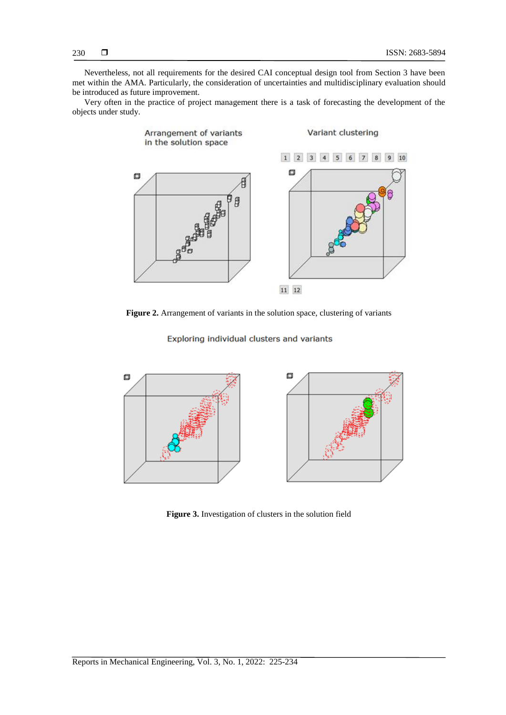Nevertheless, not all requirements for the desired CAI conceptual design tool from Section 3 have been met within the AMA. Particularly, the consideration of uncertainties and multidisciplinary evaluation should be introduced as future improvement.

Very often in the practice of project management there is a task of forecasting the development of the objects under study.



**Figure 2.** Arrangement of variants in the solution space, clustering of variants

Exploring individual clusters and variants



**Figure 3.** Investigation of clusters in the solution field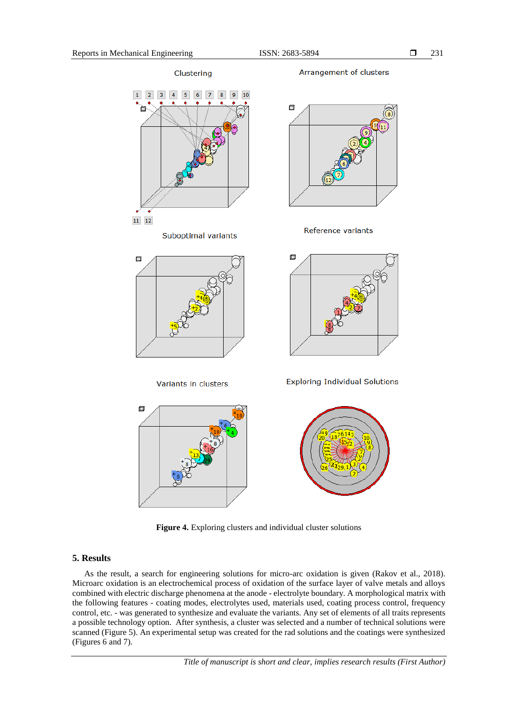Arrangement of clusters Clustering  $\overline{2}$  $\overline{3}$  $\vert 4 \vert$  $5<sub>5</sub>$  $6\phantom{.}6$  $\overline{7}$  $\overline{8}$ 0  $11 \quad 12$ Reference variants Suboptimal variants  $\Box$  $\square$ **Exploring Individual Solutions** Variants in clusters  $\Box$ 

**Figure 4.** Exploring clusters and individual cluster solutions

#### **5. Results**

As the result, a search for engineering solutions for micro-arc oxidation is given (Rakov et al., 2018). Microarc oxidation is an electrochemical process of oxidation of the surface layer of valve metals and alloys combined with electric discharge phenomena at the anode - electrolyte boundary. A morphological matrix with the following features - coating modes, electrolytes used, materials used, coating process control, frequency control, etc. - was generated to synthesize and evaluate the variants. Any set of elements of all traits represents a possible technology option. After synthesis, a cluster was selected and a number of technical solutions were scanned (Figure 5). An experimental setup was created for the rad solutions and the coatings were synthesized (Figures 6 and 7).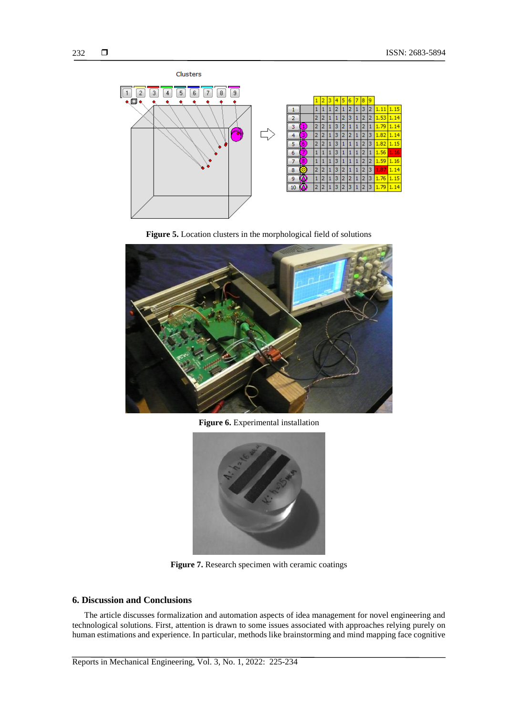





**Figure 6.** Experimental installation



**Figure 7.** Research specimen with ceramic coatings

## **6. Discussion and Conclusions**

The article discusses formalization and automation aspects of idea management for novel engineering and technological solutions. First, attention is drawn to some issues associated with approaches relying purely on human estimations and experience. In particular, methods like brainstorming and mind mapping face cognitive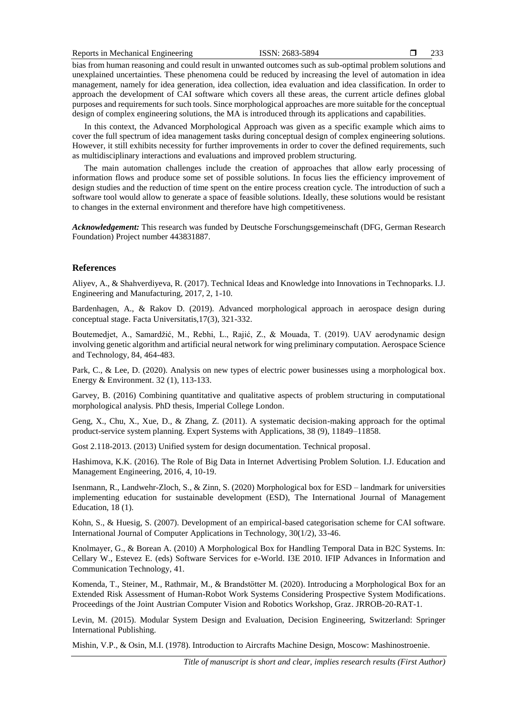bias from human reasoning and could result in unwanted outcomes such as sub-optimal problem solutions and unexplained uncertainties. These phenomena could be reduced by increasing the level of automation in idea management, namely for idea generation, idea collection, idea evaluation and idea classification. In order to approach the development of CAI software which covers all these areas, the current article defines global purposes and requirements for such tools. Since morphological approaches are more suitable for the conceptual design of complex engineering solutions, the MA is introduced through its applications and capabilities.

In this context, the Advanced Morphological Approach was given as a specific example which aims to cover the full spectrum of idea management tasks during conceptual design of complex engineering solutions. However, it still exhibits necessity for further improvements in order to cover the defined requirements, such as multidisciplinary interactions and evaluations and improved problem structuring.

The main automation challenges include the creation of approaches that allow early processing of information flows and produce some set of possible solutions. In focus lies the efficiency improvement of design studies and the reduction of time spent on the entire process creation cycle. The introduction of such a software tool would allow to generate a space of feasible solutions. Ideally, these solutions would be resistant to changes in the external environment and therefore have high competitiveness.

*Acknowledgement:* This research was funded by Deutsche Forschungsgemeinschaft (DFG, German Research Foundation) Project number 443831887.

### **References**

Aliyev, A., & Shahverdiyeva, R. (2017). Technical Ideas and Knowledge into Innovations in Technoparks. I.J. Engineering and Manufacturing, 2017, 2, 1-10.

Bardenhagen, A., & Rakov D. (2019). Advanced morphological approach in aerospace design during conceptual stage. Facta Universitatis,17(3), 321-332.

Boutemedjet, A., Samardžić, M., Rebhi, L., Rajić, Z., & Mouada, T. (2019). UAV aerodynamic design involving genetic algorithm and artificial neural network for wing preliminary computation. Aerospace Science and Technology, 84, 464-483.

Park, C., & Lee, D. (2020). Analysis on new types of electric power businesses using a morphological box. Energy & Environment. 32 (1), 113-133.

Garvey, B. (2016) Combining quantitative and qualitative aspects of problem structuring in computational morphological analysis. PhD thesis, Imperial College London.

Geng, X., Chu, X., Xue, D., & Zhang, Z. (2011). A systematic decision-making approach for the optimal product-service system planning. Expert Systems with Applications, 38 (9), 11849–11858.

Gost 2.118-2013. (2013) Unified system for design documentation. Technical proposal.

Hashimova, K.K. (2016). The Role of Big Data in Internet Advertising Problem Solution. I.J. Education and Management Engineering, 2016, 4, 10-19.

Isenmann, R., Landwehr-Zloch, S., & Zinn, S. (2020) Morphological box for ESD – landmark for universities implementing education for sustainable development (ESD), The International Journal of Management Education, 18 (1).

Kohn, S., & Huesig, S. (2007). Development of an empirical-based categorisation scheme for CAI software. International Journal of Computer Applications in Technology, 30(1/2), 33-46.

Knolmayer, G., & Borean A. (2010) A Morphological Box for Handling Temporal Data in B2C Systems. In: Cellary W., Estevez E. (eds) Software Services for e-World. I3E 2010. IFIP Advances in Information and Communication Technology, 41.

Komenda, T., Steiner, M., [Rathmair,](https://www.joanneum.at/robotics/das-institut/team/detail/rathmair) M., & [Brandstötter](https://www.joanneum.at/robotics/das-institut/team/detail/brandstoetter) M. (2020). Introducing a Morphological Box for an Extended Risk Assessment of Human-Robot Work Systems Considering Prospective System Modifications. Proceedings of the Joint Austrian Computer Vision and Robotics Workshop, Graz. JRROB-20-RAT-1.

Levin, M. (2015). Modular System Design and Evaluation, Decision Engineering, Switzerland: Springer International Publishing.

Mishin, V.P., & Osin, M.I. (1978). Introduction to Aircrafts Machine Design, Moscow: Mashinostroenie.